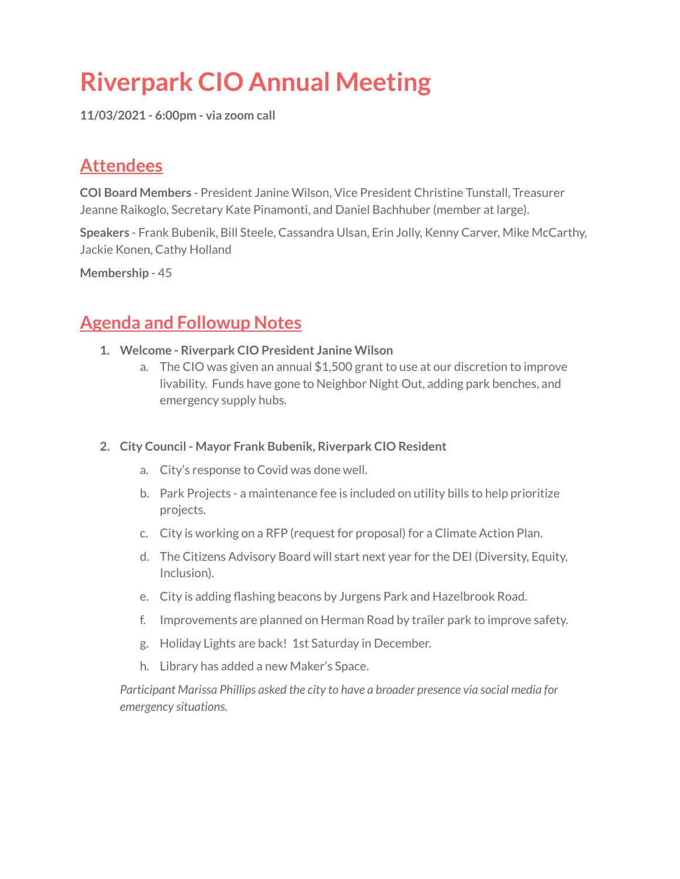# **Riverpark CIO Annual Meeting**

**11/03/2021 - 6:00pm - via zoom call**

## **Attendees**

**COI Board Members** - President Janine Wilson, Vice President Christine Tunstall, Treasurer Jeanne Raikoglo, Secretary Kate Pinamonti, and Daniel Bachhuber (member at large).

**Speakers** - Frank Bubenik, Bill Steele, Cassandra Ulsan, Erin Jolly, Kenny Carver, Mike McCarthy, Jackie Konen, Cathy Holland

**Membership** - 45

### **Agenda and Followup Notes**

- **1. Welcome - Riverpark CIO President Janine Wilson**
	- a. The CIO was given an annual \$1,500 grant to use at our discretion to improve livability. Funds have gone to Neighbor Night Out, adding park benches, and emergency supply hubs.

#### **2. City Council - Mayor Frank Bubenik, Riverpark CIO Resident**

- a. City's response to Covid was done well.
- b. Park Projects a maintenance fee is included on utility bills to help prioritize projects.
- c. City is working on a RFP (request for proposal) for a Climate Action Plan.
- d. The Citizens Advisory Board will start next year for the DEI (Diversity, Equity, Inclusion).
- e. City is adding flashing beacons by Jurgens Park and Hazelbrook Road.
- f. Improvements are planned on Herman Road by trailer park to improve safety.
- g. Holiday Lights are back! 1st Saturday in December.
- h. Library has added a new Maker's Space.

*Participant Marissa Phillips asked the city to have a broader presence via social media for emergency situations.*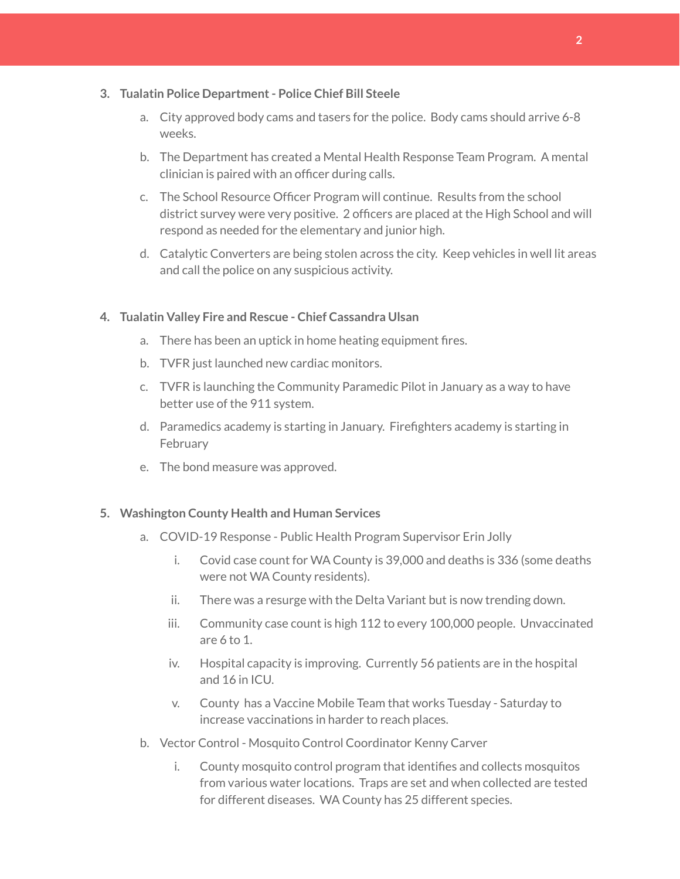#### **3. Tualatin Police Department- Police Chief Bill Steele**

- a. City approved body cams and tasers for the police. Body cams should arrive 6-8 weeks.
- b. The Department has created a Mental Health Response Team Program. A mental clinician is paired with an officer during calls.
- c. The School Resource Officer Program will continue. Results from the school district survey were very positive. 2 officers are placed at the High School and will respond as needed for the elementary and junior high.
- d. Catalytic Converters are being stolen across the city. Keep vehicles in well lit areas and call the police on any suspicious activity.

#### **4. Tualatin Valley Fire and Rescue - Chief Cassandra Ulsan**

- a. There has been an uptick in home heating equipment fires.
- b. TVFR just launched new cardiac monitors.
- c. TVFR is launching the Community Paramedic Pilot in January as a way to have better use of the 911 system.
- d. Paramedics academy is starting in January. Firefighters academy is starting in **February**
- e. The bond measure was approved.

#### **5. Washington County Health and Human Services**

- a. COVID-19 Response Public Health Program Supervisor Erin Jolly
	- i. Covid case count for WA County is 39,000 and deaths is 336 (some deaths were not WA County residents).
	- ii. There was a resurge with the Delta Variant but is now trending down.
	- iii. Community case count is high 112 to every 100,000 people. Unvaccinated are 6 to 1.
	- iv. Hospital capacity is improving. Currently 56 patients are in the hospital and 16 in ICU.
	- v. County has a Vaccine Mobile Team that works Tuesday Saturday to increase vaccinations in harder to reach places.
- b. Vector Control Mosquito Control Coordinator Kenny Carver
	- i. County mosquito control program that identifies and collects mosquitos from various water locations. Traps are set and when collected are tested for different diseases. WA County has 25 different species.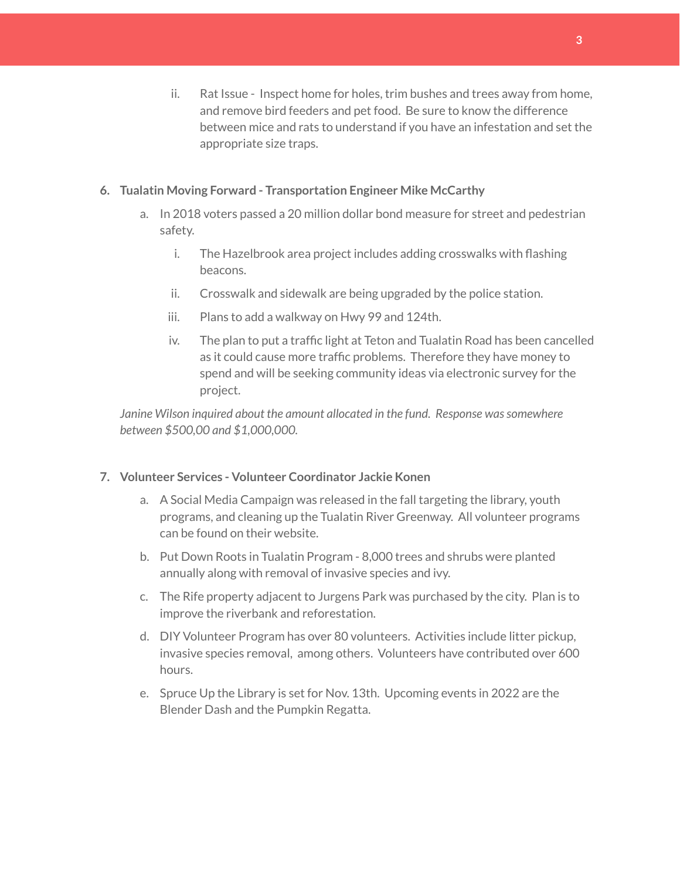ii. Rat Issue - Inspect home for holes, trim bushes and trees away from home, and remove bird feeders and pet food. Be sure to know the difference between mice and rats to understand if you have an infestation and set the appropriate size traps.

#### **6. Tualatin Moving Forward - Transportation Engineer Mike McCarthy**

- a. In 2018 voters passed a 20 million dollar bond measure for street and pedestrian safety.
	- i. The Hazelbrook area project includes adding crosswalks with flashing beacons.
	- ii. Crosswalk and sidewalk are being upgraded by the police station.
	- iii. Plans to add a walkway on Hwy 99 and 124th.
	- iv. The plan to put a traffic light at Teton and Tualatin Road has been cancelled as it could cause more traffic problems. Therefore they have money to spend and will be seeking community ideas via electronic survey for the project.

*Janine Wilson inquired about the amount allocated in the fund. Response wassomewhere between \$500,00 and \$1,000,000.*

#### **7. Volunteer Services - Volunteer Coordinator Jackie Konen**

- a. A Social Media Campaign was released in the fall targeting the library, youth programs, and cleaning up the Tualatin River Greenway. All volunteer programs can be found on their website.
- b. Put Down Roots in Tualatin Program 8,000 trees and shrubs were planted annually along with removal of invasive species and ivy.
- c. The Rife property adjacent to Jurgens Park was purchased by the city. Plan is to improve the riverbank and reforestation.
- d. DIY Volunteer Program has over 80 volunteers. Activities include litter pickup, invasive species removal, among others. Volunteers have contributed over 600 hours.
- e. Spruce Up the Library is set for Nov. 13th. Upcoming events in 2022 are the Blender Dash and the Pumpkin Regatta.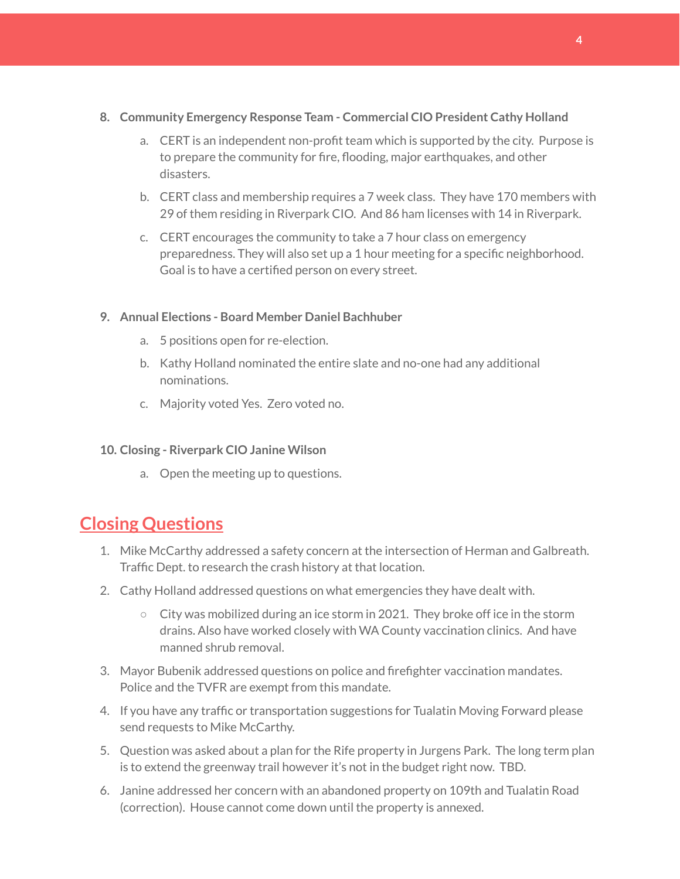#### **8. Community Emergency Response Team - Commercial CIO President Cathy Holland**

- a. CERT is an independent non-profit team which is supported by the city. Purpose is to prepare the community for fire, flooding, major earthquakes, and other disasters.
- b. CERT class and membership requires a 7 week class. They have 170 members with 29 of them residing in Riverpark CIO. And 86 ham licenses with 14 in Riverpark.
- c. CERT encourages the community to take a 7 hour class on emergency preparedness. They will also set up a 1 hour meeting for a specific neighborhood. Goal is to have a certified person on every street.

#### **9. Annual Elections - Board Member Daniel Bachhuber**

- a. 5 positions open for re-election.
- b. Kathy Holland nominated the entire slate and no-one had any additional nominations.
- c. Majority voted Yes. Zero voted no.

#### **10. Closing - Riverpark CIO Janine Wilson**

a. Open the meeting up to questions.

### **Closing Questions**

- 1. Mike McCarthy addressed a safety concern at the intersection of Herman and Galbreath. Traffic Dept. to research the crash history at that location.
- 2. Cathy Holland addressed questions on what emergencies they have dealt with.
	- $\circ$  City was mobilized during an ice storm in 2021. They broke off ice in the storm drains. Also have worked closely with WA County vaccination clinics. And have manned shrub removal.
- 3. Mayor Bubenik addressed questions on police and firefighter vaccination mandates. Police and the TVFR are exempt from this mandate.
- 4. If you have any traffic or transportation suggestions for Tualatin Moving Forward please send requests to Mike McCarthy.
- 5. Question was asked about a plan for the Rife property in Jurgens Park. The long term plan is to extend the greenway trail however it's not in the budget right now. TBD.
- 6. Janine addressed her concern with an abandoned property on 109th and Tualatin Road (correction). House cannot come down until the property is annexed.